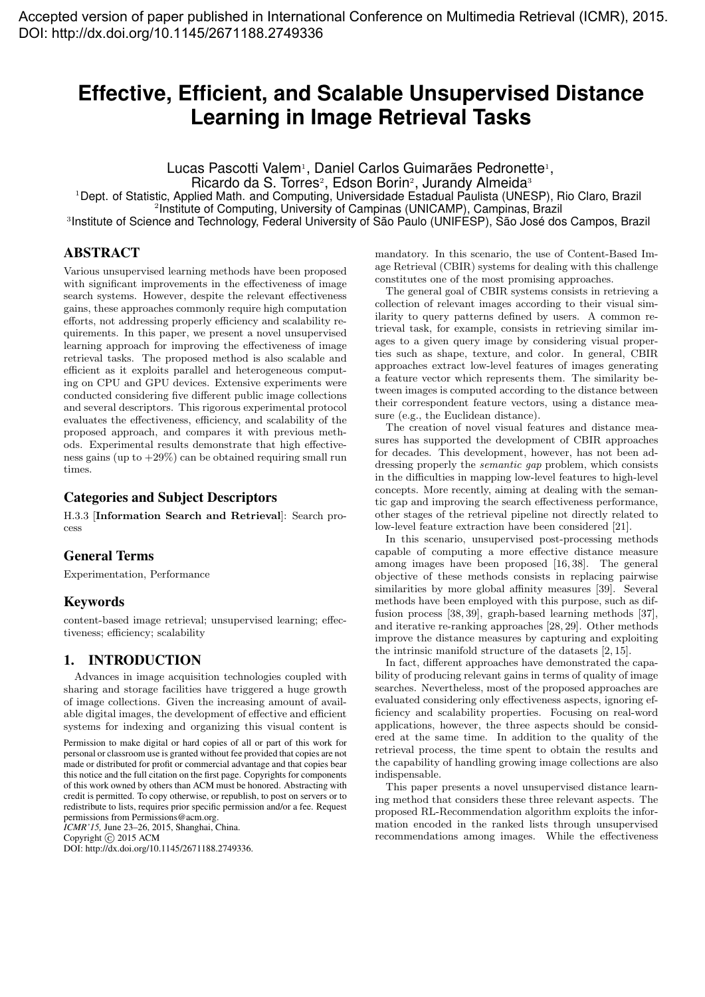# **Effective, Efficient, and Scalable Unsupervised Distance Learning in Image Retrieval Tasks**

Lucas Pascotti Valem<sup>1</sup>, Daniel Carlos Guimarães Pedronette<sup>1</sup>, Ricardo da S. Torres<sup>2</sup>, Edson Borin<sup>2</sup>, Jurandy Almeida<sup>3</sup> <sup>1</sup>Dept. of Statistic, Applied Math. and Computing, Universidade Estadual Paulista (UNESP), Rio Claro, Brazil 2 Institute of Computing, University of Campinas (UNICAMP), Campinas, Brazil 3 Institute of Science and Technology, Federal University of São Paulo (UNIFESP), São José dos Campos, Brazil

# ABSTRACT

Various unsupervised learning methods have been proposed with significant improvements in the effectiveness of image search systems. However, despite the relevant effectiveness gains, these approaches commonly require high computation efforts, not addressing properly efficiency and scalability requirements. In this paper, we present a novel unsupervised learning approach for improving the effectiveness of image retrieval tasks. The proposed method is also scalable and efficient as it exploits parallel and heterogeneous computing on CPU and GPU devices. Extensive experiments were conducted considering five different public image collections and several descriptors. This rigorous experimental protocol evaluates the effectiveness, efficiency, and scalability of the proposed approach, and compares it with previous methods. Experimental results demonstrate that high effectiveness gains (up to  $+29\%$ ) can be obtained requiring small run times.

# Categories and Subject Descriptors

H.3.3 [Information Search and Retrieval]: Search process

# General Terms

Experimentation, Performance

# Keywords

content-based image retrieval; unsupervised learning; effectiveness; efficiency; scalability

# 1. INTRODUCTION

Advances in image acquisition technologies coupled with sharing and storage facilities have triggered a huge growth of image collections. Given the increasing amount of available digital images, the development of effective and efficient systems for indexing and organizing this visual content is

Permission to make digital or hard copies of all or part of this work for personal or classroom use is granted without fee provided that copies are not made or distributed for profit or commercial advantage and that copies bear this notice and the full citation on the first page. Copyrights for components of this work owned by others than ACM must be honored. Abstracting with credit is permitted. To copy otherwise, or republish, to post on servers or to redistribute to lists, requires prior specific permission and/or a fee. Request permissions from Permissions@acm.org.

*ICMR'15,* June 23–26, 2015, Shanghai, China.

Copyright (C) 2015 ACM

DOI: http://dx.doi.org/10.1145/2671188.2749336.

mandatory. In this scenario, the use of Content-Based Image Retrieval (CBIR) systems for dealing with this challenge constitutes one of the most promising approaches.

The general goal of CBIR systems consists in retrieving a collection of relevant images according to their visual similarity to query patterns defined by users. A common retrieval task, for example, consists in retrieving similar images to a given query image by considering visual properties such as shape, texture, and color. In general, CBIR approaches extract low-level features of images generating a feature vector which represents them. The similarity between images is computed according to the distance between their correspondent feature vectors, using a distance measure (e.g., the Euclidean distance).

The creation of novel visual features and distance measures has supported the development of CBIR approaches for decades. This development, however, has not been addressing properly the semantic gap problem, which consists in the difficulties in mapping low-level features to high-level concepts. More recently, aiming at dealing with the semantic gap and improving the search effectiveness performance, other stages of the retrieval pipeline not directly related to low-level feature extraction have been considered [21].

In this scenario, unsupervised post-processing methods capable of computing a more effective distance measure among images have been proposed [16, 38]. The general objective of these methods consists in replacing pairwise similarities by more global affinity measures [39]. Several methods have been employed with this purpose, such as diffusion process [38, 39], graph-based learning methods [37], and iterative re-ranking approaches [28, 29]. Other methods improve the distance measures by capturing and exploiting the intrinsic manifold structure of the datasets [2, 15].

In fact, different approaches have demonstrated the capability of producing relevant gains in terms of quality of image searches. Nevertheless, most of the proposed approaches are evaluated considering only effectiveness aspects, ignoring efficiency and scalability properties. Focusing on real-word applications, however, the three aspects should be considered at the same time. In addition to the quality of the retrieval process, the time spent to obtain the results and the capability of handling growing image collections are also indispensable.

This paper presents a novel unsupervised distance learning method that considers these three relevant aspects. The proposed RL-Recommendation algorithm exploits the information encoded in the ranked lists through unsupervised recommendations among images. While the effectiveness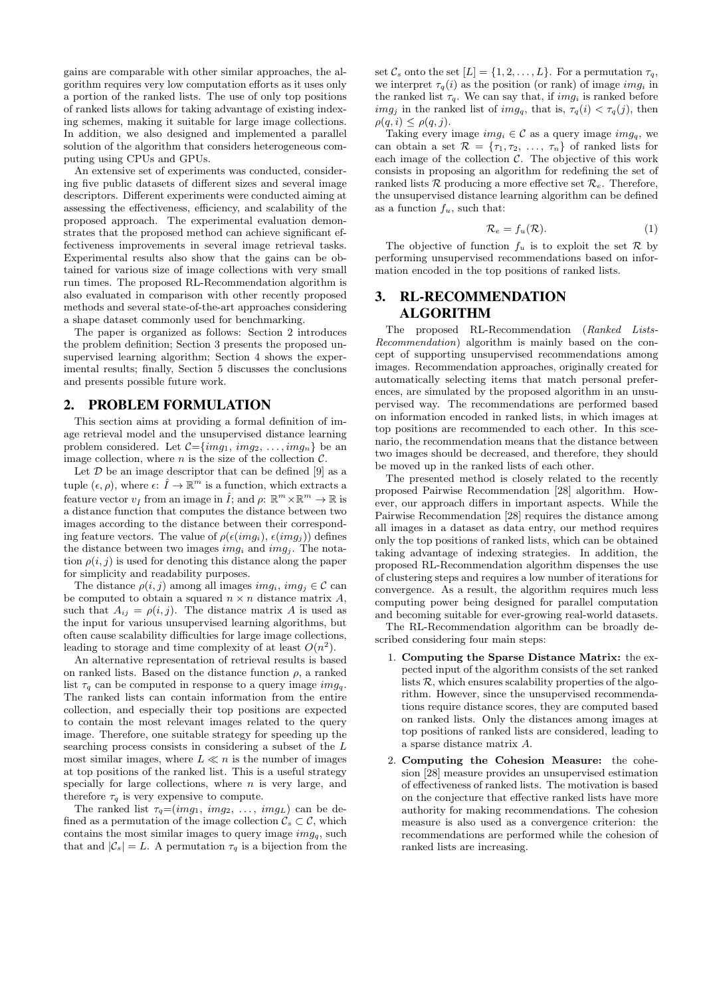gains are comparable with other similar approaches, the algorithm requires very low computation efforts as it uses only a portion of the ranked lists. The use of only top positions of ranked lists allows for taking advantage of existing indexing schemes, making it suitable for large image collections. In addition, we also designed and implemented a parallel solution of the algorithm that considers heterogeneous computing using CPUs and GPUs.

An extensive set of experiments was conducted, considering five public datasets of different sizes and several image descriptors. Different experiments were conducted aiming at assessing the effectiveness, efficiency, and scalability of the proposed approach. The experimental evaluation demonstrates that the proposed method can achieve significant effectiveness improvements in several image retrieval tasks. Experimental results also show that the gains can be obtained for various size of image collections with very small run times. The proposed RL-Recommendation algorithm is also evaluated in comparison with other recently proposed methods and several state-of-the-art approaches considering a shape dataset commonly used for benchmarking.

The paper is organized as follows: Section 2 introduces the problem definition; Section 3 presents the proposed unsupervised learning algorithm; Section 4 shows the experimental results; finally, Section 5 discusses the conclusions and presents possible future work.

## 2. PROBLEM FORMULATION

This section aims at providing a formal definition of image retrieval model and the unsupervised distance learning problem considered. Let  $C = \{img_1, img_2, ..., img_n\}$  be an image collection, where  $n$  is the size of the collection  $C$ .

Let  $D$  be an image descriptor that can be defined [9] as a tuple  $(\epsilon, \rho)$ , where  $\epsilon: \hat{I} \to \mathbb{R}^m$  is a function, which extracts a feature vector  $v_{\hat{I}}$  from an image in  $\hat{I}$ ; and  $\rho$ :  $\mathbb{R}^m \times \mathbb{R}^m \to \mathbb{R}$  is a distance function that computes the distance between two images according to the distance between their corresponding feature vectors. The value of  $\rho(\epsilon(img_i), \epsilon(img_j)$ ) defines the distance between two images  $img_i$  and  $img_j$ . The notation  $\rho(i, j)$  is used for denoting this distance along the paper for simplicity and readability purposes.

The distance  $\rho(i, j)$  among all images  $img_i$ ,  $img_i \in \mathcal{C}$  can be computed to obtain a squared  $n \times n$  distance matrix A, such that  $A_{ij} = \rho(i, j)$ . The distance matrix A is used as the input for various unsupervised learning algorithms, but often cause scalability difficulties for large image collections, leading to storage and time complexity of at least  $O(n^2)$ .

An alternative representation of retrieval results is based on ranked lists. Based on the distance function  $\rho$ , a ranked list  $\tau_q$  can be computed in response to a query image  $img_q$ . The ranked lists can contain information from the entire collection, and especially their top positions are expected to contain the most relevant images related to the query image. Therefore, one suitable strategy for speeding up the searching process consists in considering a subset of the L most similar images, where  $L \ll n$  is the number of images at top positions of the ranked list. This is a useful strategy specially for large collections, where  $n$  is very large, and therefore  $\tau_q$  is very expensive to compute.

The ranked list  $\tau_q=(img_1, img_2, \ldots, img_L)$  can be defined as a permutation of the image collection  $\mathcal{C}_s \subset \mathcal{C}$ , which contains the most similar images to query image  $img_q$ , such that and  $|\mathcal{C}_s| = L$ . A permutation  $\tau_q$  is a bijection from the set  $\mathcal{C}_s$  onto the set  $[L] = \{1, 2, \ldots, L\}$ . For a permutation  $\tau_q$ , we interpret  $\tau_q(i)$  as the position (or rank) of image  $img_i$  in the ranked list  $\tau_q$ . We can say that, if  $img_i$  is ranked before img<sub>j</sub> in the ranked list of img<sub>q</sub>, that is,  $\tau_q(i) < \tau_q(j)$ , then  $\rho(q, i) \leq \rho(q, j).$ 

Taking every image  $img_i \in \mathcal{C}$  as a query image  $img_q$ , we can obtain a set  $\mathcal{R} = {\tau_1, \tau_2, ..., \tau_n}$  of ranked lists for each image of the collection  $C$ . The objective of this work consists in proposing an algorithm for redefining the set of ranked lists  $\mathcal R$  producing a more effective set  $\mathcal R_e$ . Therefore, the unsupervised distance learning algorithm can be defined as a function  $f_u$ , such that:

$$
\mathcal{R}_e = f_u(\mathcal{R}).\tag{1}
$$

The objective of function  $f_u$  is to exploit the set  $\mathcal R$  by performing unsupervised recommendations based on information encoded in the top positions of ranked lists.

# 3. RL-RECOMMENDATION ALGORITHM

The proposed RL-Recommendation (Ranked Lists-Recommendation) algorithm is mainly based on the concept of supporting unsupervised recommendations among images. Recommendation approaches, originally created for automatically selecting items that match personal preferences, are simulated by the proposed algorithm in an unsupervised way. The recommendations are performed based on information encoded in ranked lists, in which images at top positions are recommended to each other. In this scenario, the recommendation means that the distance between two images should be decreased, and therefore, they should be moved up in the ranked lists of each other.

The presented method is closely related to the recently proposed Pairwise Recommendation [28] algorithm. However, our approach differs in important aspects. While the Pairwise Recommendation [28] requires the distance among all images in a dataset as data entry, our method requires only the top positions of ranked lists, which can be obtained taking advantage of indexing strategies. In addition, the proposed RL-Recommendation algorithm dispenses the use of clustering steps and requires a low number of iterations for convergence. As a result, the algorithm requires much less computing power being designed for parallel computation and becoming suitable for ever-growing real-world datasets.

The RL-Recommendation algorithm can be broadly described considering four main steps:

- 1. Computing the Sparse Distance Matrix: the expected input of the algorithm consists of the set ranked lists  $R$ , which ensures scalability properties of the algorithm. However, since the unsupervised recommendations require distance scores, they are computed based on ranked lists. Only the distances among images at top positions of ranked lists are considered, leading to a sparse distance matrix A.
- 2. Computing the Cohesion Measure: the cohesion [28] measure provides an unsupervised estimation of effectiveness of ranked lists. The motivation is based on the conjecture that effective ranked lists have more authority for making recommendations. The cohesion measure is also used as a convergence criterion: the recommendations are performed while the cohesion of ranked lists are increasing.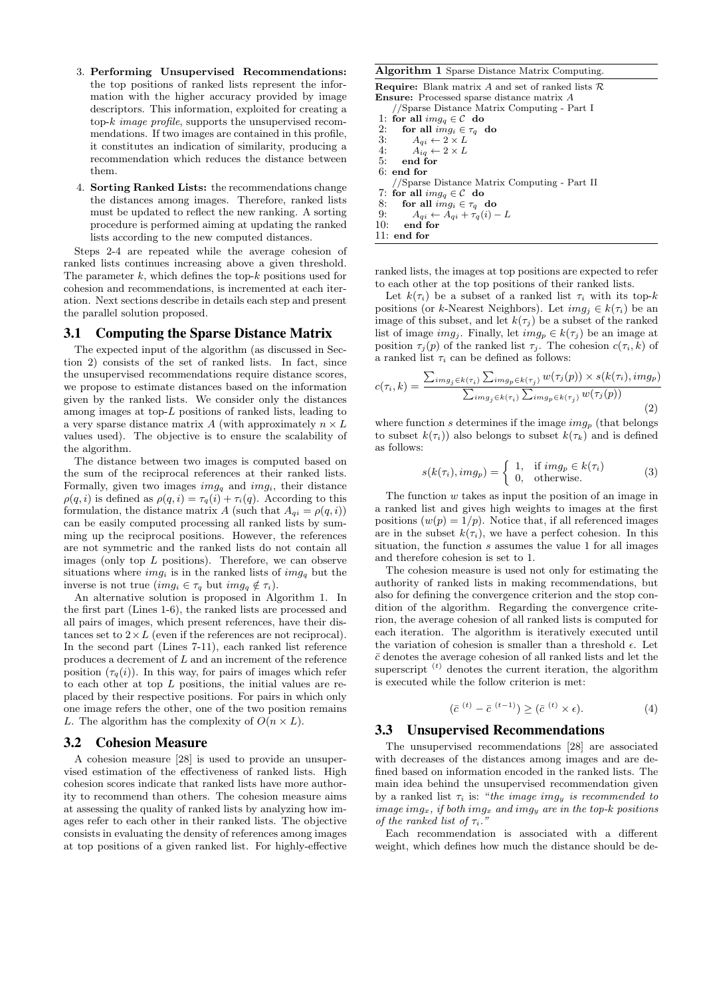- 3. Performing Unsupervised Recommendations: the top positions of ranked lists represent the information with the higher accuracy provided by image descriptors. This information, exploited for creating a top-k image profile, supports the unsupervised recommendations. If two images are contained in this profile, it constitutes an indication of similarity, producing a recommendation which reduces the distance between them.
- 4. Sorting Ranked Lists: the recommendations change the distances among images. Therefore, ranked lists must be updated to reflect the new ranking. A sorting procedure is performed aiming at updating the ranked lists according to the new computed distances.

Steps 2-4 are repeated while the average cohesion of ranked lists continues increasing above a given threshold. The parameter  $k$ , which defines the top- $k$  positions used for cohesion and recommendations, is incremented at each iteration. Next sections describe in details each step and present the parallel solution proposed.

#### 3.1 Computing the Sparse Distance Matrix

The expected input of the algorithm (as discussed in Section 2) consists of the set of ranked lists. In fact, since the unsupervised recommendations require distance scores, we propose to estimate distances based on the information given by the ranked lists. We consider only the distances among images at top-L positions of ranked lists, leading to a very sparse distance matrix A (with approximately  $n \times L$ values used). The objective is to ensure the scalability of the algorithm.

The distance between two images is computed based on the sum of the reciprocal references at their ranked lists. Formally, given two images  $img_q$  and  $img_i$ , their distance  $\rho(q, i)$  is defined as  $\rho(q, i) = \tau_q(i) + \tau_i(q)$ . According to this formulation, the distance matrix A (such that  $A_{qi} = \rho(q, i)$ ) can be easily computed processing all ranked lists by summing up the reciprocal positions. However, the references are not symmetric and the ranked lists do not contain all images (only top L positions). Therefore, we can observe situations where  $img_i$  is in the ranked lists of  $img_q$  but the inverse is not true  $(img_i \in \tau_q$  but  $img_q \notin \tau_i$ ).

An alternative solution is proposed in Algorithm 1. In the first part (Lines 1-6), the ranked lists are processed and all pairs of images, which present references, have their distances set to  $2 \times L$  (even if the references are not reciprocal). In the second part (Lines 7-11), each ranked list reference produces a decrement of L and an increment of the reference position  $(\tau_q(i))$ . In this way, for pairs of images which refer to each other at top  $L$  positions, the initial values are replaced by their respective positions. For pairs in which only one image refers the other, one of the two position remains L. The algorithm has the complexity of  $O(n \times L)$ .

#### 3.2 Cohesion Measure

A cohesion measure [28] is used to provide an unsupervised estimation of the effectiveness of ranked lists. High cohesion scores indicate that ranked lists have more authority to recommend than others. The cohesion measure aims at assessing the quality of ranked lists by analyzing how images refer to each other in their ranked lists. The objective consists in evaluating the density of references among images at top positions of a given ranked list. For highly-effective

#### Algorithm 1 Sparse Distance Matrix Computing.

**Require:** Blank matrix A and set of ranked lists  $\mathcal{R}$ Ensure: Processed sparse distance matrix A

//Sparse Distance Matrix Computing - Part I 1: for all  $img_q \in \mathcal{C}$  do<br>2: for all  $ima_i \in \tau_q$ 2: for all  $img_i \in \tau_q$  do<br>3:  $A_{qi} \leftarrow 2 \times L$ 3:  $A_{qi} \leftarrow 2 \times L$ <br>4:  $A_{iq} \leftarrow 2 \times L$ 4:  $A_{iq} \leftarrow 2 \times L$ <br>5: end for end for 6: end for //Sparse Distance Matrix Computing - Part II 7: for all  $img_q \in \mathcal{C}$  do<br>8: for all  $ima_i \in \mathcal{T}_q$ 8: for all  $img_i \in \tau_q$  do<br>9:  $A_{qi} \leftarrow A_{qi} + \tau_q(i)$ 

9:  $A_{qi} \leftarrow A_{qi} + \tau_q(i) - L$ <br>10: end for

end for 11: end for

ranked lists, the images at top positions are expected to refer to each other at the top positions of their ranked lists.

Let  $k(\tau_i)$  be a subset of a ranked list  $\tau_i$  with its top-k positions (or k-Nearest Neighbors). Let  $im q_i \in k(\tau_i)$  be an image of this subset, and let  $k(\tau_j)$  be a subset of the ranked list of image  $img_j$ . Finally, let  $img_p \in k(\tau_j)$  be an image at position  $\tau_j(p)$  of the ranked list  $\tau_j$ . The cohesion  $c(\tau_i, k)$  of a ranked list  $\tau_i$  can be defined as follows:

$$
c(\tau_i, k) = \frac{\sum_{img_j \in k(\tau_i)} \sum_{img_p \in k(\tau_j)} w(\tau_j(p)) \times s(k(\tau_i), img_p)}{\sum_{img_j \in k(\tau_i)} \sum_{img_p \in k(\tau_j)} w(\tau_j(p))}
$$
\n(2)

where function s determines if the image  $img_p$  (that belongs to subset  $k(\tau_i)$  also belongs to subset  $k(\tau_k)$  and is defined as follows:

$$
s(k(\tau_i), img_p) = \begin{cases} 1, & \text{if } img_p \in k(\tau_i) \\ 0, & \text{otherwise.} \end{cases}
$$
 (3)

The function  $w$  takes as input the position of an image in a ranked list and gives high weights to images at the first positions  $(w(p) = 1/p)$ . Notice that, if all referenced images are in the subset  $k(\tau_i)$ , we have a perfect cohesion. In this situation, the function s assumes the value 1 for all images and therefore cohesion is set to 1.

The cohesion measure is used not only for estimating the authority of ranked lists in making recommendations, but also for defining the convergence criterion and the stop condition of the algorithm. Regarding the convergence criterion, the average cohesion of all ranked lists is computed for each iteration. The algorithm is iteratively executed until the variation of cohesion is smaller than a threshold  $\epsilon$ . Let  $\bar{c}$  denotes the average cohesion of all ranked lists and let the superscript  $<sup>(t)</sup>$  denotes the current iteration, the algorithm</sup> is executed while the follow criterion is met:

$$
(\bar{c}^{(t)} - \bar{c}^{(t-1)}) \ge (\bar{c}^{(t)} \times \epsilon). \tag{4}
$$

#### 3.3 Unsupervised Recommendations

The unsupervised recommendations [28] are associated with decreases of the distances among images and are defined based on information encoded in the ranked lists. The main idea behind the unsupervised recommendation given by a ranked list  $\tau_i$  is: "the image img<sub>y</sub> is recommended to image img<sub>x</sub>, if both img<sub>x</sub> and img<sub>y</sub> are in the top-k positions of the ranked list of  $\tau_i$ ."

Each recommendation is associated with a different weight, which defines how much the distance should be de-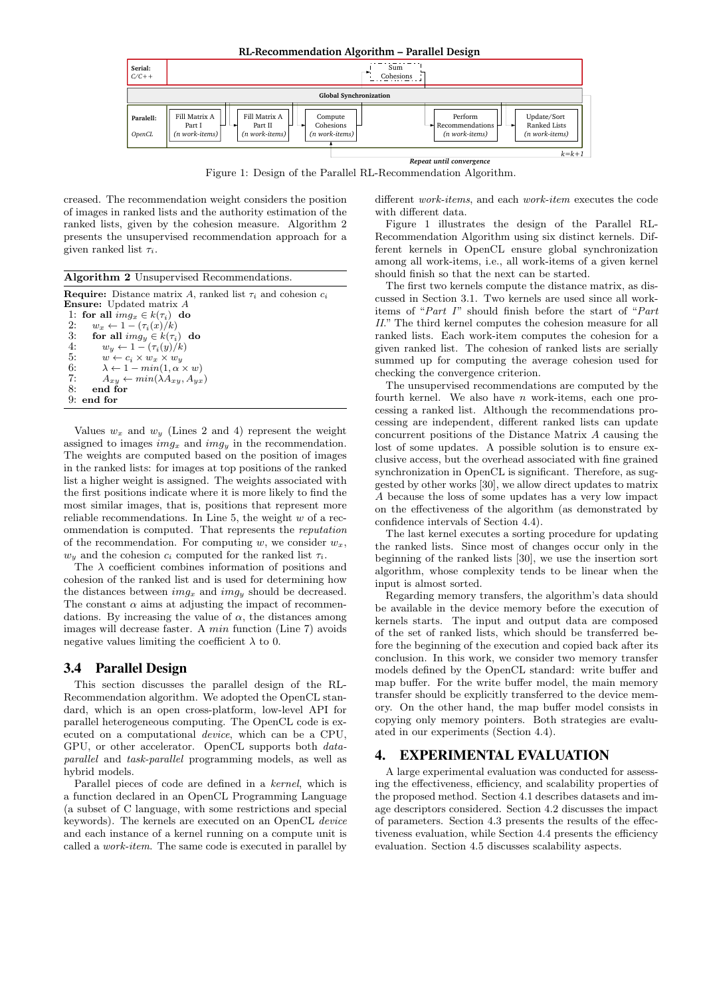

Figure 1: Design of the Parallel RL-Recommendation Algorithm.

creased. The recommendation weight considers the position of images in ranked lists and the authority estimation of the ranked lists, given by the cohesion measure. Algorithm 2 presents the unsupervised recommendation approach for a given ranked list  $\tau_i$ .

Algorithm 2 Unsupervised Recommendations.

| <b>Require:</b> Distance matrix A, ranked list $\tau_i$ and cohesion $c_i$ |
|----------------------------------------------------------------------------|
| <b>Ensure:</b> Updated matrix A                                            |
| 1: for all $img_x \in k(\tau_i)$ do                                        |
| 2: $w_x \leftarrow 1 - (\tau_i(x)/k)$                                      |
| 3:<br>for all $img_y \in k(\tau_i)$ do                                     |
| 4:<br>$w_y \leftarrow 1 - (\tau_i(y)/k)$                                   |
| 5:<br>$w \leftarrow c_i \times w_x \times w_y$                             |
| 6: $\lambda \leftarrow 1 - min(1, \alpha \times w)$                        |
| 7:<br>$A_{xy} \leftarrow min(\lambda A_{xy}, A_{yx})$                      |
| 8:<br>end for                                                              |
| $9:$ end for                                                               |

Values  $w_x$  and  $w_y$  (Lines 2 and 4) represent the weight assigned to images  $img_x$  and  $img_y$  in the recommendation. The weights are computed based on the position of images in the ranked lists: for images at top positions of the ranked list a higher weight is assigned. The weights associated with the first positions indicate where it is more likely to find the most similar images, that is, positions that represent more reliable recommendations. In Line  $5$ , the weight  $w$  of a recommendation is computed. That represents the reputation of the recommendation. For computing w, we consider  $w_x$ ,  $w_y$  and the cohesion  $c_i$  computed for the ranked list  $\tau_i$ .

The  $\lambda$  coefficient combines information of positions and cohesion of the ranked list and is used for determining how the distances between  $img_x$  and  $img_y$  should be decreased. The constant  $\alpha$  aims at adjusting the impact of recommendations. By increasing the value of  $\alpha$ , the distances among images will decrease faster. A min function (Line 7) avoids negative values limiting the coefficient  $\lambda$  to 0.

## 3.4 Parallel Design

This section discusses the parallel design of the RL-Recommendation algorithm. We adopted the OpenCL standard, which is an open cross-platform, low-level API for parallel heterogeneous computing. The OpenCL code is executed on a computational device, which can be a CPU, GPU, or other accelerator. OpenCL supports both dataparallel and task-parallel programming models, as well as hybrid models.

Parallel pieces of code are defined in a kernel, which is a function declared in an OpenCL Programming Language (a subset of C language, with some restrictions and special keywords). The kernels are executed on an OpenCL device and each instance of a kernel running on a compute unit is called a work-item. The same code is executed in parallel by

different *work-items*, and each *work-item* executes the code with different data.

Figure 1 illustrates the design of the Parallel RL-Recommendation Algorithm using six distinct kernels. Different kernels in OpenCL ensure global synchronization among all work-items, i.e., all work-items of a given kernel should finish so that the next can be started.

The first two kernels compute the distance matrix, as discussed in Section 3.1. Two kernels are used since all workitems of "Part I" should finish before the start of "Part II." The third kernel computes the cohesion measure for all ranked lists. Each work-item computes the cohesion for a given ranked list. The cohesion of ranked lists are serially summed up for computing the average cohesion used for checking the convergence criterion.

The unsupervised recommendations are computed by the fourth kernel. We also have  $n$  work-items, each one processing a ranked list. Although the recommendations processing are independent, different ranked lists can update concurrent positions of the Distance Matrix A causing the lost of some updates. A possible solution is to ensure exclusive access, but the overhead associated with fine grained synchronization in OpenCL is significant. Therefore, as suggested by other works [30], we allow direct updates to matrix A because the loss of some updates has a very low impact on the effectiveness of the algorithm (as demonstrated by confidence intervals of Section 4.4).

The last kernel executes a sorting procedure for updating the ranked lists. Since most of changes occur only in the beginning of the ranked lists [30], we use the insertion sort algorithm, whose complexity tends to be linear when the input is almost sorted.

Regarding memory transfers, the algorithm's data should be available in the device memory before the execution of kernels starts. The input and output data are composed of the set of ranked lists, which should be transferred before the beginning of the execution and copied back after its conclusion. In this work, we consider two memory transfer models defined by the OpenCL standard: write buffer and map buffer. For the write buffer model, the main memory transfer should be explicitly transferred to the device memory. On the other hand, the map buffer model consists in copying only memory pointers. Both strategies are evaluated in our experiments (Section 4.4).

### 4. EXPERIMENTAL EVALUATION

A large experimental evaluation was conducted for assessing the effectiveness, efficiency, and scalability properties of the proposed method. Section 4.1 describes datasets and image descriptors considered. Section 4.2 discusses the impact of parameters. Section 4.3 presents the results of the effectiveness evaluation, while Section 4.4 presents the efficiency evaluation. Section 4.5 discusses scalability aspects.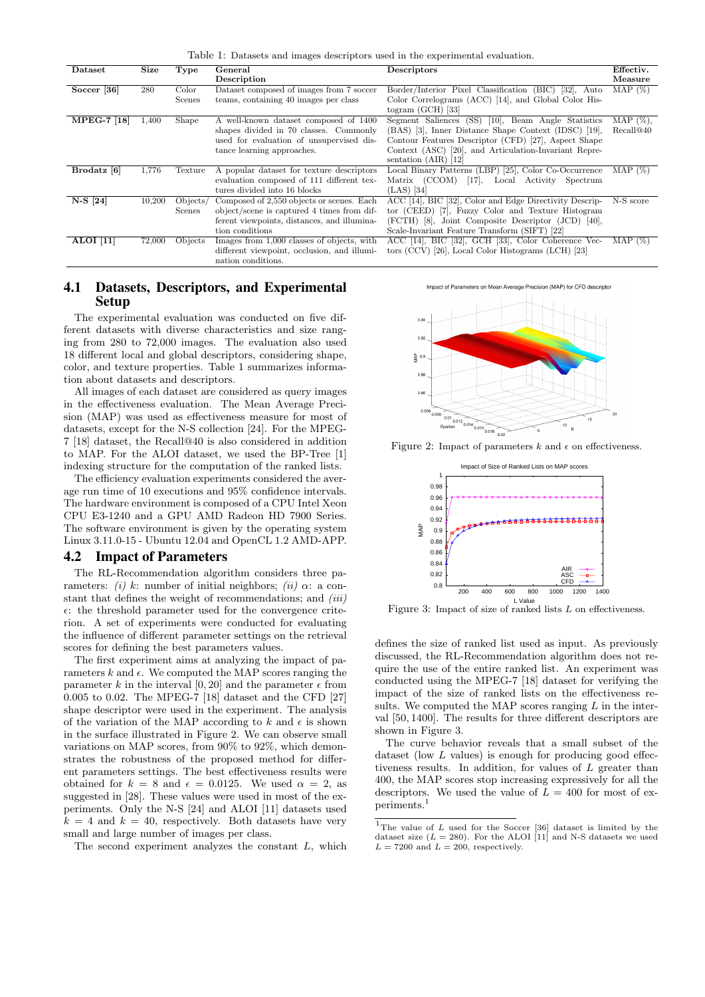Table 1: Datasets and images descriptors used in the experimental evaluation.

| Dataset                | <b>Size</b> | Type     | General                                     | <b>Descriptors</b>                                      | Effectiv.             |
|------------------------|-------------|----------|---------------------------------------------|---------------------------------------------------------|-----------------------|
|                        |             |          | Description                                 |                                                         | Measure               |
| Soccer [36]            | 280         | Color    | Dataset composed of images from 7 soccer    | Border/Interior Pixel Classification (BIC) [32], Auto   | MAP $(\%)$            |
|                        |             | Scenes   | teams, containing 40 images per class       | Color Correlograms (ACC) [14], and Global Color His-    |                       |
|                        |             |          |                                             | togram $(GCH)$ [33]                                     |                       |
| <b>MPEG-7</b> [18]     | 1,400       | Shape    | A well-known dataset composed of 1400       | Segment Saliences (SS) [10], Beam Angle Statistics      | MAP $(\%)$ ,          |
|                        |             |          | shapes divided in 70 classes. Commonly      | (BAS) [3], Inner Distance Shape Context (IDSC) [19],    | Recall <sup>@40</sup> |
|                        |             |          | used for evaluation of unsupervised dis-    | Contour Features Descriptor (CFD) [27], Aspect Shape    |                       |
|                        |             |          | tance learning approaches.                  | Context (ASC) [20], and Articulation-Invariant Repre-   |                       |
|                        |             |          |                                             | sentation $(AIR)$ [12]                                  |                       |
| Brodatz [6]            | 1,776       | Texture  | A popular dataset for texture descriptors   | Local Binary Patterns (LBP) [25], Color Co-Occurrence   | MAP $(\%)$            |
|                        |             |          | evaluation composed of 111 different tex-   | Matrix (CCOM) [17], Local Activity Spectrum             |                       |
|                        |             |          | tures divided into 16 blocks                | $(LAS)$ [34]                                            |                       |
| $\overline{N}$ -S [24] | 10,200      | Objects/ | Composed of 2,550 objects or scenes. Each   | ACC [14], BIC [32], Color and Edge Directivity Descrip- | N-S score             |
|                        |             | Scenes   | object/scene is captured 4 times from dif-  | tor (CEED) [7], Fuzzy Color and Texture Histogram       |                       |
|                        |             |          | ferent viewpoints, distances, and illumina- | (FCTH) [8], Joint Composite Descriptor (JCD) [40],      |                       |
|                        |             |          | tion conditions                             | Scale-Invariant Feature Transform (SIFT) [22]           |                       |
| $ALOI$ [11]            | 72,000      | Objects  | Images from 1,000 classes of objects, with  | ACC [14], BIC [32], GCH [33], Color Coherence Vec-      | MAP (%)               |
|                        |             |          | different viewpoint, occlusion, and illumi- | tors (CCV) [26], Local Color Histograms (LCH) [23]      |                       |
|                        |             |          | nation conditions.                          |                                                         |                       |

#### 4.1 Datasets, Descriptors, and Experimental Setup

The experimental evaluation was conducted on five different datasets with diverse characteristics and size ranging from 280 to 72,000 images. The evaluation also used 18 different local and global descriptors, considering shape, color, and texture properties. Table 1 summarizes information about datasets and descriptors.

All images of each dataset are considered as query images in the effectiveness evaluation. The Mean Average Precision (MAP) was used as effectiveness measure for most of datasets, except for the N-S collection [24]. For the MPEG-7 [18] dataset, the Recall@40 is also considered in addition to MAP. For the ALOI dataset, we used the BP-Tree [1] indexing structure for the computation of the ranked lists.

The efficiency evaluation experiments considered the average run time of 10 executions and 95% confidence intervals. The hardware environment is composed of a CPU Intel Xeon CPU E3-1240 and a GPU AMD Radeon HD 7900 Series. The software environment is given by the operating system Linux 3.11.0-15 - Ubuntu 12.04 and OpenCL 1.2 AMD-APP.

#### 4.2 Impact of Parameters

The RL-Recommendation algorithm considers three parameters: (i) k: number of initial neighbors; (ii)  $\alpha$ : a constant that defines the weight of recommendations; and *(iii)*  $\epsilon$ : the threshold parameter used for the convergence criterion. A set of experiments were conducted for evaluating the influence of different parameter settings on the retrieval scores for defining the best parameters values.

The first experiment aims at analyzing the impact of parameters  $k$  and  $\epsilon$ . We computed the MAP scores ranging the parameter k in the interval [0, 20] and the parameter  $\epsilon$  from 0.005 to 0.02. The MPEG-7 [18] dataset and the CFD [27] shape descriptor were used in the experiment. The analysis of the variation of the MAP according to k and  $\epsilon$  is shown in the surface illustrated in Figure 2. We can observe small variations on MAP scores, from 90% to 92%, which demonstrates the robustness of the proposed method for different parameters settings. The best effectiveness results were obtained for  $k = 8$  and  $\epsilon = 0.0125$ . We used  $\alpha = 2$ , as suggested in [28]. These values were used in most of the experiments. Only the N-S [24] and ALOI [11] datasets used  $k = 4$  and  $k = 40$ , respectively. Both datasets have very small and large number of images per class.

The second experiment analyzes the constant  $L$ , which



Figure 2: Impact of parameters  $k$  and  $\epsilon$  on effectiveness.



Figure 3: Impact of size of ranked lists  $L$  on effectiveness.

defines the size of ranked list used as input. As previously discussed, the RL-Recommendation algorithm does not require the use of the entire ranked list. An experiment was conducted using the MPEG-7 [18] dataset for verifying the impact of the size of ranked lists on the effectiveness results. We computed the MAP scores ranging  $L$  in the interval [50, 1400]. The results for three different descriptors are shown in Figure 3.

The curve behavior reveals that a small subset of the dataset (low L values) is enough for producing good effectiveness results. In addition, for values of L greater than 400, the MAP scores stop increasing expressively for all the descriptors. We used the value of  $L = 400$  for most of experiments.

 $\overline{1}$ The value of L used for the Soccer [36] dataset is limited by the dataset size  $(L = 280)$ . For the ALOI [11] and N-S datasets we used  $L = 7200$  and  $L = 200$ , respectively.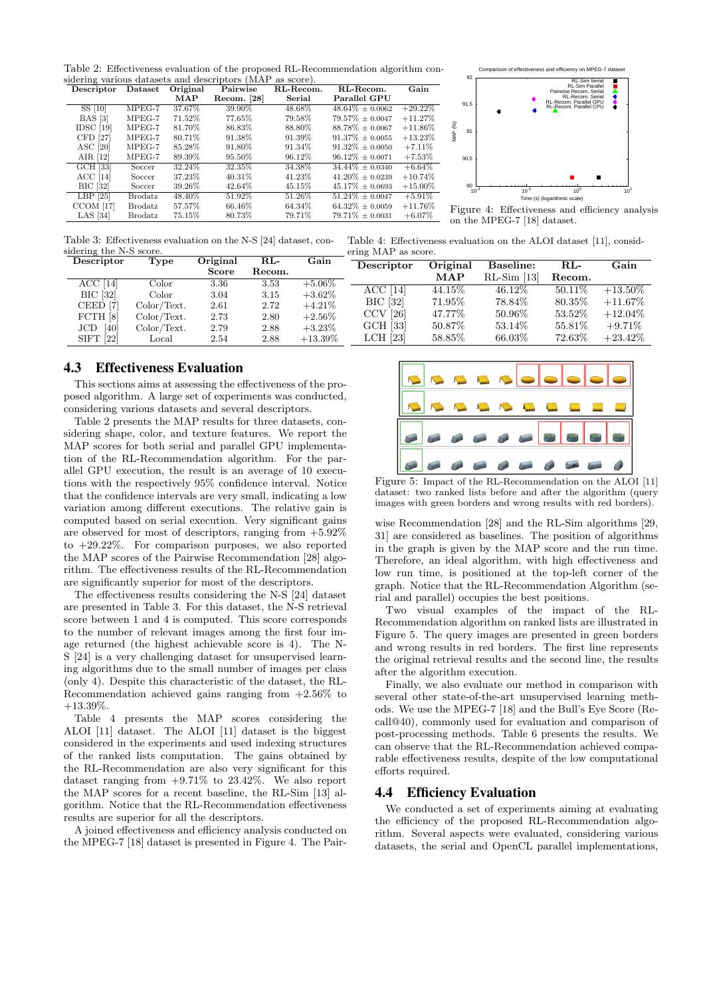Table 2: Effectiveness evaluation of the proposed RL-Recommendation algorithm considering various datasets and descriptors (MAP as score).

| Descriptor          | Dataset        | Original | Pairwise    | RL-Recom. | RL-Recom.                     | Gain       |
|---------------------|----------------|----------|-------------|-----------|-------------------------------|------------|
|                     |                | MAP      | Recom. [28] | Serial    | Parallel GPU                  |            |
| SS [10]             | $MPEG-7$       | 37.67%   | 39.90%      | 48.68%    | $48.64\% \pm 0.0062$          | $+29.22\%$ |
| $BAS$ [3]           | $MPEG-7$       | 71.52%   | 77.65%      | 79.58%    | $79.57\% \pm 0.0047$          | $+11.27\%$ |
| $IDSC$ [19]         | $MPEG-7$       | 81.70%   | 86.83%      | 88.80%    | $88.78\% \pm 0.0067$          | $+11.86\%$ |
| CFD [27]            | $MPEG-7$       | 80.71%   | 91.38%      | 91.39%    | $91.37\% \pm 0.0055$          | $+13.23\%$ |
| $\text{ASC }[20]$   | $MPEG-7$       | 85.28%   | 91.80%      | 91.34\%   | $91.32\% \pm 0.0050$          | $+7.11%$   |
| AIR $[12]$          | $MPEG-7$       | 89.39%   | 95.50%      | 96.12\%   | $96.12\% \pm 0.0071$          | $+7.53\%$  |
| GCH [33]            | Soccer         | 32.24%   | 32.35%      | 34.38%    | $\overline{34.44\%}$ ± 0.0340 | $+6.64\%$  |
| ACC <sub>[14]</sub> | Soccer         | 37.23%   | 40.31%      | 41.23%    | $41.20\% \pm 0.0239$          | $+10.74%$  |
| BIC [32]            | Soccer         | 39.26\%  | 42.64%      | 45.15%    | $45.17\% \pm 0.0693$          | $+15.00\%$ |
| $LBP$ [25]          | <b>Brodatz</b> | 48.40%   | 51.92%      | 51.26%    | $51.24\% \pm 0.0047$          | $+5.91\%$  |
| $CCOM$ [17]         | Brodatz        | 57.57%   | 66.46%      | 64.34%    | $64.32\% \pm 0.0059$          | $+11.76\%$ |
| LAS $[34]$          | Brodatz        | 75.15%   | 80.73%      | 79.71%    | $79.71\% \pm 0.0031$          | $+6.07\%$  |

Comparison of effectiveness and efficiency on MPEG-7 dataset



Figure 4: Effectiveness and efficiency analysis on the MPEG-7 [18] dataset.

Table 3: Effectiveness evaluation on the N-S [24] dataset, considering the N-S score.

| Table 4: Effectiveness evaluation on the ALOI dataset [11], consid- |  |  |  |  |
|---------------------------------------------------------------------|--|--|--|--|
| $\alpha$ ring MAP as scora                                          |  |  |  |  |

MAP (%)

| Descriptor          | Type        | Original | $RL-$  | Gain       | $\frac{1}{2}$ $\frac{1}{2}$ $\frac{1}{2}$ $\frac{1}{2}$ $\frac{1}{2}$ $\frac{1}{2}$ $\frac{1}{2}$ $\frac{1}{2}$ $\frac{1}{2}$ $\frac{1}{2}$ $\frac{1}{2}$ $\frac{1}{2}$ $\frac{1}{2}$ $\frac{1}{2}$ $\frac{1}{2}$ $\frac{1}{2}$ $\frac{1}{2}$ $\frac{1}{2}$ $\frac{1}{2}$ $\frac{1}{2}$ $\frac{1}{2}$ $\frac{1}{2}$ |                |               |           |            |
|---------------------|-------------|----------|--------|------------|---------------------------------------------------------------------------------------------------------------------------------------------------------------------------------------------------------------------------------------------------------------------------------------------------------------------|----------------|---------------|-----------|------------|
|                     |             |          |        |            | Descriptor                                                                                                                                                                                                                                                                                                          | Original       | Baseline:     | $RL-$     | Gain       |
|                     |             | Score    | Recom. |            |                                                                                                                                                                                                                                                                                                                     | $\mathbf{MAP}$ | $RL-Sim$ [13] | Recom.    |            |
| ACC <sub>[14]</sub> | Color       | 3.36     | 3.53   | $+5.06\%$  |                                                                                                                                                                                                                                                                                                                     |                |               |           |            |
| <b>BIC</b> [32]     | Color       | 3.04     | 3.15   | $+3.62\%$  | ACC <sub>[14]</sub>                                                                                                                                                                                                                                                                                                 | 44.15\%        | 46.12\%       | $50.11\%$ | $+13.50\%$ |
|                     |             |          |        |            | <b>BIC</b> [32]                                                                                                                                                                                                                                                                                                     | 71.95%         | 78.84%        | 80.35%    | $+11.67\%$ |
| CEED <sup>[7]</sup> | Color/Text. | 2.61     | 2.72   | $+4.21\%$  |                                                                                                                                                                                                                                                                                                                     |                |               |           |            |
| FCTH[8]             | Color/Text. | 2.73     | 2.80   | $+2.56\%$  | $CCV$ [26]                                                                                                                                                                                                                                                                                                          | 47.77%         | 50.96%        | 53.52\%   | $+12.04\%$ |
| [40]<br>JCD         | Color/Text. | 2.79     | 2.88   | $+3.23\%$  | GCH [33]                                                                                                                                                                                                                                                                                                            | 50.87\%        | 53.14\%       | 55.81\%   | $+9.71%$   |
| $SIFT$ [22]         | Local       | 2.54     | 2.88   | $+13.39\%$ | $LCH$ [23]                                                                                                                                                                                                                                                                                                          | 58.85%         | 66.03%        | 72.63%    | $+23.42\%$ |

## 4.3 Effectiveness Evaluation

This sections aims at assessing the effectiveness of the proposed algorithm. A large set of experiments was conducted, considering various datasets and several descriptors.

Table 2 presents the MAP results for three datasets, considering shape, color, and texture features. We report the MAP scores for both serial and parallel GPU implementation of the RL-Recommendation algorithm. For the parallel GPU execution, the result is an average of 10 executions with the respectively 95% confidence interval. Notice that the confidence intervals are very small, indicating a low variation among different executions. The relative gain is computed based on serial execution. Very significant gains are observed for most of descriptors, ranging from +5.92% to +29.22%. For comparison purposes, we also reported the MAP scores of the Pairwise Recommendation [28] algorithm. The effectiveness results of the RL-Recommendation are significantly superior for most of the descriptors.

The effectiveness results considering the N-S [24] dataset are presented in Table 3. For this dataset, the N-S retrieval score between 1 and 4 is computed. This score corresponds to the number of relevant images among the first four image returned (the highest achievable score is 4). The N-S [24] is a very challenging dataset for unsupervised learning algorithms due to the small number of images per class (only 4). Despite this characteristic of the dataset, the RL-Recommendation achieved gains ranging from  $+2.56\%$  to  $+13.39\%$ .

Table 4 presents the MAP scores considering the ALOI [11] dataset. The ALOI [11] dataset is the biggest considered in the experiments and used indexing structures of the ranked lists computation. The gains obtained by the RL-Recommendation are also very significant for this dataset ranging from  $+9.71\%$  to 23.42%. We also report the MAP scores for a recent baseline, the RL-Sim [13] algorithm. Notice that the RL-Recommendation effectiveness results are superior for all the descriptors.

A joined effectiveness and efficiency analysis conducted on the MPEG-7 [18] dataset is presented in Figure 4. The Pair-



Figure 5: Impact of the RL-Recommendation on the ALOI [11] dataset: two ranked lists before and after the algorithm (query images with green borders and wrong results with red borders).

wise Recommendation [28] and the RL-Sim algorithms [29, 31] are considered as baselines. The position of algorithms in the graph is given by the MAP score and the run time. Therefore, an ideal algorithm, with high effectiveness and low run time, is positioned at the top-left corner of the graph. Notice that the RL-Recommendation Algorithm (serial and parallel) occupies the best positions.

Two visual examples of the impact of the RL-Recommendation algorithm on ranked lists are illustrated in Figure 5. The query images are presented in green borders and wrong results in red borders. The first line represents the original retrieval results and the second line, the results after the algorithm execution.

Finally, we also evaluate our method in comparison with several other state-of-the-art unsupervised learning methods. We use the MPEG-7 [18] and the Bull's Eye Score (Recall@40), commonly used for evaluation and comparison of post-processing methods. Table 6 presents the results. We can observe that the RL-Recommendation achieved comparable effectiveness results, despite of the low computational efforts required.

# 4.4 Efficiency Evaluation

We conducted a set of experiments aiming at evaluating the efficiency of the proposed RL-Recommendation algorithm. Several aspects were evaluated, considering various datasets, the serial and OpenCL parallel implementations,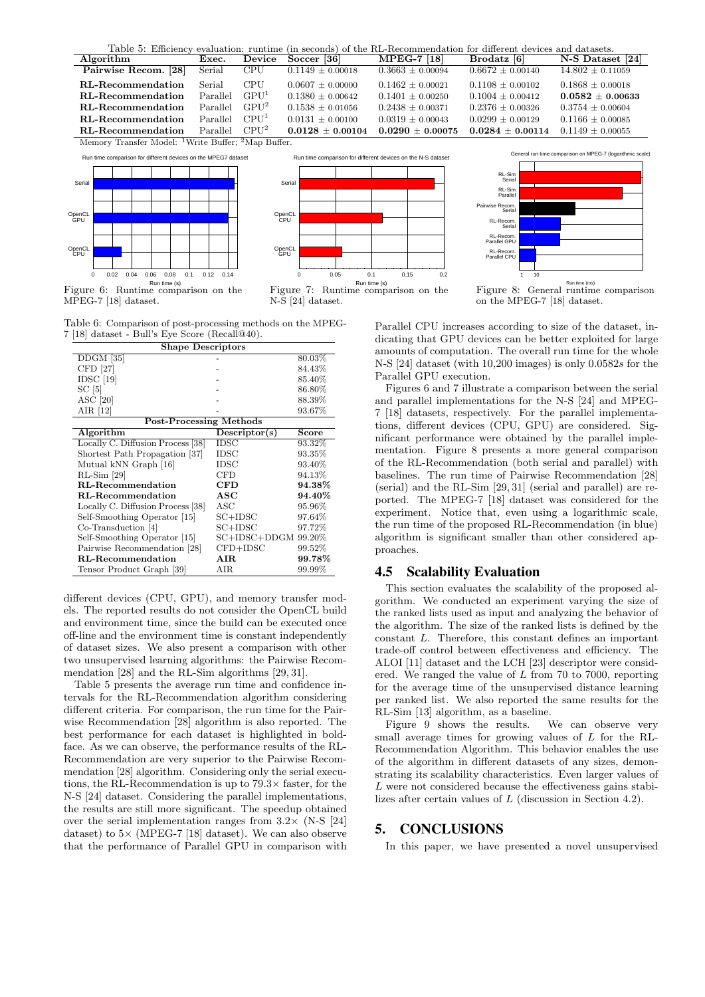| Table 5: Efficiency evaluation: runtime (in seconds) of the RL-Recommendation for different devices and datasets. |          |                   |                      |                      |                      |                      |
|-------------------------------------------------------------------------------------------------------------------|----------|-------------------|----------------------|----------------------|----------------------|----------------------|
| Algorithm                                                                                                         | Exec.    | Device            | Soccer [36]          | <b>MPEG-7</b> [18]   | Brodatz [6]          | N-S Dataset [24]     |
| Pairwise Recom. [28]                                                                                              | Serial   | <b>CPU</b>        | $0.1149 \pm 0.00018$ | $0.3663 \pm 0.00094$ | $0.6672 \pm 0.00140$ | $14.802 \pm 0.11059$ |
| RL-Recommendation                                                                                                 | Serial   | <b>CPU</b>        | $0.0607 \pm 0.00000$ | $0.1462 + 0.00021$   | $0.1108 + 0.00102$   | $0.1868 \pm 0.00018$ |
| RL-Recommendation                                                                                                 | Parallel | GPI <sup>1</sup>  | $0.1380 \pm 0.00642$ | $0.1401 \pm 0.00250$ | $0.1004 \pm 0.00412$ | $0.0582 \pm 0.00633$ |
| <b>RL-Recommendation</b>                                                                                          | Parallel | GPU <sup>2</sup>  | $0.1538 \pm 0.01056$ | $0.2438 \pm 0.00371$ | $0.2376 \pm 0.00326$ | $0.3754 \pm 0.00604$ |
| <b>RL-Recommendation</b>                                                                                          | Parallel | $\mathrm{CPI}^1$  | $0.0131 \pm 0.00100$ | $0.0319 + 0.00043$   | $0.0299 + 0.00129$   | $0.1166 \pm 0.00085$ |
| RL-Recommendation                                                                                                 | Parallel | $\mathrm{CPII}^2$ | $0.0128 \pm 0.00104$ | $0.0290 \pm 0.00075$ | $0.0284 \pm 0.00114$ | $0.1149 \pm 0.00055$ |

Memory Transfer Model: <sup>1</sup>Write Buffer; <sup>2</sup>Map Buffer.





N-S [24] dataset.





on the MPEG-7 [18] dataset.

Table 6: Comparison of post-processing methods on the MPEG-7 [18] dataset - Bull's Eye Score (Recall@40).

| <b>Shape Descriptors</b>          |                           |        |  |  |  |  |  |
|-----------------------------------|---------------------------|--------|--|--|--|--|--|
| $DDGM$ [35]                       |                           | 80.03% |  |  |  |  |  |
| CFD [27]                          |                           | 84.43% |  |  |  |  |  |
| IDSC $[19]$                       |                           | 85.40% |  |  |  |  |  |
| SC[5]                             |                           | 86.80% |  |  |  |  |  |
| ASC $[20]$                        |                           | 88.39% |  |  |  |  |  |
| AIR [12]                          |                           | 93.67% |  |  |  |  |  |
| <b>Post-Processing Methods</b>    |                           |        |  |  |  |  |  |
| Algorithm                         | Descriptor(s)             | Score  |  |  |  |  |  |
| Locally C. Diffusion Process [38] | IDSC                      | 93.32% |  |  |  |  |  |
| Shortest Path Propagation [37]    | IDSC                      | 93.35% |  |  |  |  |  |
| Mutual kNN Graph [16]             | IDSC                      | 93.40% |  |  |  |  |  |
| RL-Sim [29]                       | CFD                       | 94.13% |  |  |  |  |  |
| <b>RL-Recommendation</b>          | CFD                       | 94.38% |  |  |  |  |  |
| <b>RL-Recommendation</b>          | $\bf{{\color{red}A} S C}$ | 94.40% |  |  |  |  |  |
| Locally C. Diffusion Process [38] | $_{\rm ASC}$              | 95.96% |  |  |  |  |  |
| Self-Smoothing Operator [15]      | $SC+IDSC$                 | 97.64% |  |  |  |  |  |
| $Co-Transduction$ [4]             | $SC+IDSC$                 | 97.72% |  |  |  |  |  |
| Self-Smoothing Operator [15]      | $SC+IDSC+DDGM$ 99.20%     |        |  |  |  |  |  |
| Pairwise Recommendation [28]      | $CFD+IDSC$                | 99.52% |  |  |  |  |  |
| <b>RL-Recommendation</b>          | $A$ IR.                   | 99.78% |  |  |  |  |  |
| Tensor Product Graph [39]         | AIR.                      | 99.99% |  |  |  |  |  |

different devices (CPU, GPU), and memory transfer models. The reported results do not consider the OpenCL build and environment time, since the build can be executed once off-line and the environment time is constant independently of dataset sizes. We also present a comparison with other two unsupervised learning algorithms: the Pairwise Recommendation [28] and the RL-Sim algorithms [29, 31].

Table 5 presents the average run time and confidence intervals for the RL-Recommendation algorithm considering different criteria. For comparison, the run time for the Pairwise Recommendation [28] algorithm is also reported. The best performance for each dataset is highlighted in boldface. As we can observe, the performance results of the RL-Recommendation are very superior to the Pairwise Recommendation [28] algorithm. Considering only the serial executions, the RL-Recommendation is up to  $79.3\times$  faster, for the N-S [24] dataset. Considering the parallel implementations, the results are still more significant. The speedup obtained over the serial implementation ranges from  $3.2 \times$  (N-S [24]) dataset) to  $5\times$  (MPEG-7 [18] dataset). We can also observe that the performance of Parallel GPU in comparison with

Parallel CPU increases according to size of the dataset, indicating that GPU devices can be better exploited for large amounts of computation. The overall run time for the whole N-S [24] dataset (with 10,200 images) is only 0.0582s for the Parallel GPU execution.

Figures 6 and 7 illustrate a comparison between the serial and parallel implementations for the N-S [24] and MPEG-7 [18] datasets, respectively. For the parallel implementations, different devices (CPU, GPU) are considered. Significant performance were obtained by the parallel implementation. Figure 8 presents a more general comparison of the RL-Recommendation (both serial and parallel) with baselines. The run time of Pairwise Recommendation [28] (serial) and the RL-Sim [29, 31] (serial and parallel) are reported. The MPEG-7 [18] dataset was considered for the experiment. Notice that, even using a logarithmic scale, the run time of the proposed RL-Recommendation (in blue) algorithm is significant smaller than other considered approaches.

# 4.5 Scalability Evaluation

This section evaluates the scalability of the proposed algorithm. We conducted an experiment varying the size of the ranked lists used as input and analyzing the behavior of the algorithm. The size of the ranked lists is defined by the constant L. Therefore, this constant defines an important trade-off control between effectiveness and efficiency. The ALOI [11] dataset and the LCH [23] descriptor were considered. We ranged the value of L from 70 to 7000, reporting for the average time of the unsupervised distance learning per ranked list. We also reported the same results for the RL-Sim [13] algorithm, as a baseline.

Figure 9 shows the results. We can observe very small average times for growing values of L for the RL-Recommendation Algorithm. This behavior enables the use of the algorithm in different datasets of any sizes, demonstrating its scalability characteristics. Even larger values of L were not considered because the effectiveness gains stabilizes after certain values of L (discussion in Section 4.2).

#### 5. CONCLUSIONS

In this paper, we have presented a novel unsupervised